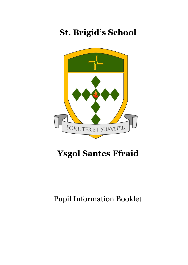## **St. Brigid's School**



## **Ysgol Santes Ffraid**

Pupil Information Booklet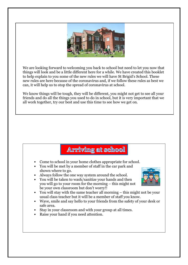

We are looking forward to welcoming you back to school but need to let you now that things will look and be a little different here for a while. We have created this booklet to help explain to you some of the new rules we will have St Brigid's School. These new rules are here because of the coronavirus and, if we follow these rules as best we can, it will help us to stop the spread of coronavirus at school.

We know things will be tough, they will be different, you might not get to see all your friends and do all the things you used to do in school, but it is very important that we all work together, try our best and use this time to see how we get on.

#### **Arriving at school**

- Come to school in your home clothes appropriate for school.
- You will be met by a member of staff in the car park and shown where to go.
- Always follow the one way system around the school.
- You will be taken to wash/sanitize your hands and then you will go to your room for the morning – this might not be your own classroom but don't worry!!
- 
- You will stay with the same teacher all morning this might not be your usual class teacher but it will be a member of staff you know.
- Wave, smile and say hello to your friends from the safety of your desk or safe area.
- Stay in your classroom and with your group at all times.
- Raise your hand if you need attention.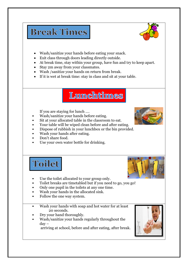### **Break Times**



- Wash/sanitize your hands before eating your snack.
- Exit class through doors leading directly outside.
- At break time, stay within your group, have fun and try to keep apart.
- Stay 2m away from your classmates.
- Wash /sanitize your hands on return from break.
- If it is wet at break time: stay in class and sit at your table.

#### **Lunchtimes**

If you are staying for lunch ….

- Wash/sanitize your hands before eating.
- Sit at your allocated table in the classroom to eat.
- 
- Your table will be wiped clean before and after eating. • Dispose of rubbish in your lunchbox or the bin provided.
- Wash your hands after eating.
- Don't share food.
- Use your own water bottle for drinking.

# Toilet



- Use the toilet allocated to your group only.
- Toilet breaks are timetabled but if you need to go, you go!
- Only one pupil in the toilets at any one time.
- Wash your hands in the allocated sink.
- Follow the one way system.
- Wash your hands with soap and hot water for at least 20 seconds.
- Dry your hand thoroughly.
- Wash/sanitize your hands regularly throughout the  $day -$

arriving at school, before and after eating, after break.

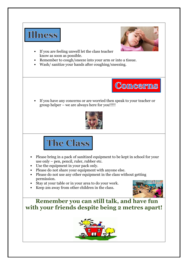